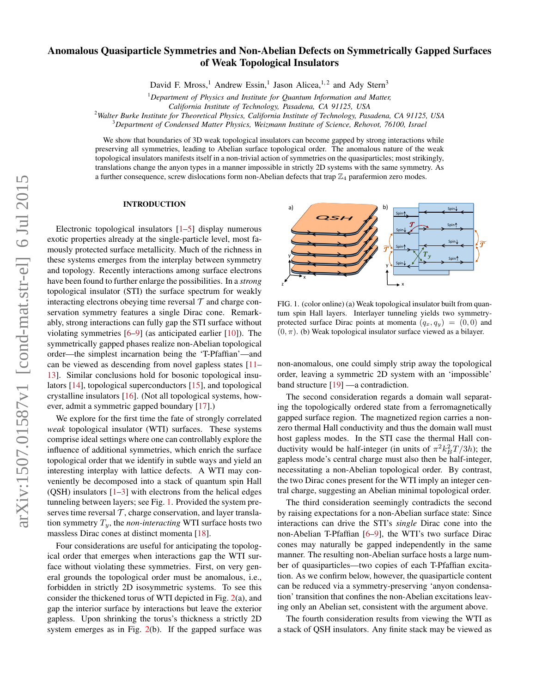## Anomalous Quasiparticle Symmetries and Non-Abelian Defects on Symmetrically Gapped Surfaces of Weak Topological Insulators

David F. Mross,<sup>1</sup> Andrew Essin,<sup>1</sup> Jason Alicea,<sup>1,2</sup> and Ady Stern<sup>3</sup>

<sup>1</sup>*Department of Physics and Institute for Quantum Information and Matter,*

*California Institute of Technology, Pasadena, CA 91125, USA*

<sup>2</sup>*Walter Burke Institute for Theoretical Physics, California Institute of Technology, Pasadena, CA 91125, USA*

<sup>3</sup>*Department of Condensed Matter Physics, Weizmann Institute of Science, Rehovot, 76100, Israel*

We show that boundaries of 3D weak topological insulators can become gapped by strong interactions while preserving all symmetries, leading to Abelian surface topological order. The anomalous nature of the weak topological insulators manifests itself in a non-trivial action of symmetries on the quasiparticles; most strikingly, translations change the anyon types in a manner impossible in strictly 2D systems with the same symmetry. As a further consequence, screw dislocations form non-Abelian defects that trap  $\mathbb{Z}_4$  parafermion zero modes.

## INTRODUCTION

Electronic topological insulators [\[1](#page-4-0)[–5\]](#page-4-1) display numerous exotic properties already at the single-particle level, most famously protected surface metallicity. Much of the richness in these systems emerges from the interplay between symmetry and topology. Recently interactions among surface electrons have been found to further enlarge the possibilities. In a *strong* topological insulator (STI) the surface spectrum for weakly interacting electrons obeying time reversal  $\mathcal T$  and charge conservation symmetry features a single Dirac cone. Remarkably, strong interactions can fully gap the STI surface without violating symmetries [\[6–](#page-4-2)[9\]](#page-4-3) (as anticipated earlier [\[10\]](#page-4-4)). The symmetrically gapped phases realize non-Abelian topological order—the simplest incarnation being the 'T-Pfaffian'—and can be viewed as descending from novel gapless states [\[11–](#page-4-5) [13\]](#page-4-6). Similar conclusions hold for bosonic topological insulators [\[14\]](#page-4-7), topological superconductors [\[15\]](#page-4-8), and topological crystalline insulators [\[16\]](#page-4-9). (Not all topological systems, however, admit a symmetric gapped boundary [\[17\]](#page-4-10).)

We explore for the first time the fate of strongly correlated *weak* topological insulator (WTI) surfaces. These systems comprise ideal settings where one can controllably explore the influence of additional symmetries, which enrich the surface topological order that we identify in subtle ways and yield an interesting interplay with lattice defects. A WTI may conveniently be decomposed into a stack of quantum spin Hall (QSH) insulators  $[1-3]$  $[1-3]$  with electrons from the helical edges tunneling between layers; see Fig. [1.](#page-0-0) Provided the system preserves time reversal  $\mathcal T$ , charge conservation, and layer translation symmetry  $T_y$ , the *non-interacting* WTI surface hosts two massless Dirac cones at distinct momenta [\[18\]](#page-4-12).

Four considerations are useful for anticipating the topological order that emerges when interactions gap the WTI surface without violating these symmetries. First, on very general grounds the topological order must be anomalous, i.e., forbidden in strictly 2D isosymmetric systems. To see this consider the thickened torus of WTI depicted in Fig. [2\(](#page-1-0)a), and gap the interior surface by interactions but leave the exterior gapless. Upon shrinking the torus's thickness a strictly 2D system emerges as in Fig.  $2(b)$  $2(b)$ . If the gapped surface was



<span id="page-0-0"></span>FIG. 1. (color online) (a) Weak topological insulator built from quantum spin Hall layers. Interlayer tunneling yields two symmetryprotected surface Dirac points at momenta  $(q_x, q_y) = (0, 0)$  and  $(0, \pi)$ . (b) Weak topological insulator surface viewed as a bilayer.

non-anomalous, one could simply strip away the topological order, leaving a symmetric 2D system with an 'impossible' band structure [\[19\]](#page-4-13) —a contradiction.

The second consideration regards a domain wall separating the topologically ordered state from a ferromagnetically gapped surface region. The magnetized region carries a nonzero thermal Hall conductivity and thus the domain wall must host gapless modes. In the STI case the thermal Hall conductivity would be half-integer (in units of  $\pi^2 k_B^2 T/3h$ ); the gapless mode's central charge must also then be half-integer, necessitating a non-Abelian topological order. By contrast, the two Dirac cones present for the WTI imply an integer central charge, suggesting an Abelian minimal topological order.

The third consideration seemingly contradicts the second by raising expectations for a non-Abelian surface state: Since interactions can drive the STI's *single* Dirac cone into the non-Abelian T-Pfaffian [\[6–](#page-4-2)[9\]](#page-4-3), the WTI's two surface Dirac cones may naturally be gapped independently in the same manner. The resulting non-Abelian surface hosts a large number of quasiparticles—two copies of each T-Pfaffian excitation. As we confirm below, however, the quasiparticle content can be reduced via a symmetry-preserving 'anyon condensation' transition that confines the non-Abelian excitations leaving only an Abelian set, consistent with the argument above.

The fourth consideration results from viewing the WTI as a stack of QSH insulators. Any finite stack may be viewed as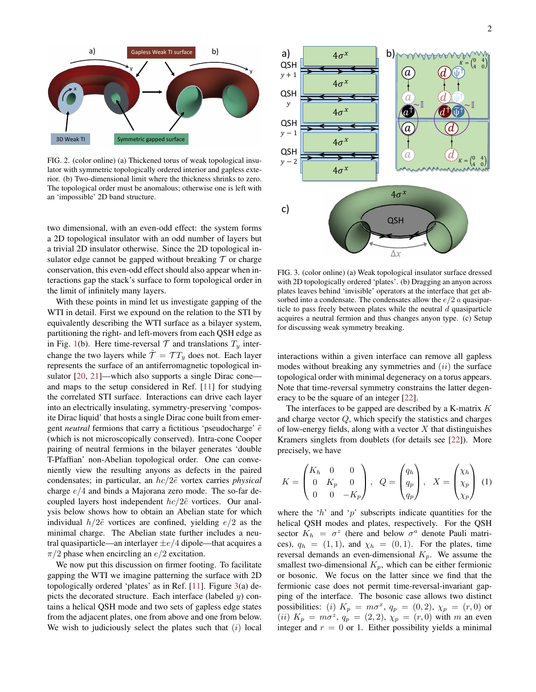

<span id="page-1-0"></span>FIG. 2. (color online) (a) Thickened torus of weak topological insulator with symmetric topologically ordered interior and gapless exterior. (b) Two-dimensional limit where the thickness shrinks to zero. The topological order must be anomalous; otherwise one is left with an 'impossible' 2D band structure.

two dimensional, with an even-odd effect: the system forms a 2D topological insulator with an odd number of layers but a trivial 2D insulator otherwise. Since the 2D topological insulator edge cannot be gapped without breaking  $\mathcal T$  or charge conservation, this even-odd effect should also appear when interactions gap the stack's surface to form topological order in the limit of infinitely many layers.

With these points in mind let us investigate gapping of the WTI in detail. First we expound on the relation to the STI by equivalently describing the WTI surface as a bilayer system, partitioning the right- and left-movers from each QSH edge as in Fig. [1\(](#page-0-0)b). Here time-reversal  $T$  and translations  $T<sub>y</sub>$  interchange the two layers while  $\tilde{\mathcal{T}} = \mathcal{T} T_y$  does not. Each layer represents the surface of an antiferromagnetic topological in-sulator [\[20,](#page-4-14) [21\]](#page-4-15)—which also supports a single Dirac cone and maps to the setup considered in Ref. [\[11\]](#page-4-5) for studying the correlated STI surface. Interactions can drive each layer into an electrically insulating, symmetry-preserving 'composite Dirac liquid' that hosts a single Dirac cone built from emergent *neutral* fermions that carry a fictitious 'pseudocharge'  $\tilde{e}$ (which is not microscopically conserved). Intra-cone Cooper pairing of neutral fermions in the bilayer generates 'double T-Pfaffian' non-Abelian topological order. One can conveniently view the resulting anyons as defects in the paired condensates; in particular, an  $hc/2\tilde{e}$  vortex carries *physical* charge e/4 and binds a Majorana zero mode. The so-far decoupled layers host independent  $hc/2\tilde{e}$  vortices. Our analysis below shows how to obtain an Abelian state for which individual  $h/2\tilde{e}$  vortices are confined, yielding  $e/2$  as the minimal charge. The Abelian state further includes a neutral quasiparticle—an interlayer  $\pm e/4$  dipole—that acquires a  $\pi/2$  phase when encircling an  $e/2$  excitation.

We now put this discussion on firmer footing. To facilitate gapping the WTI we imagine patterning the surface with 2D topologically ordered 'plates' as in Ref. [\[11\]](#page-4-5). Figure  $3(a)$  $3(a)$  depicts the decorated structure. Each interface (labeled  $y$ ) contains a helical QSH mode and two sets of gapless edge states from the adjacent plates, one from above and one from below. We wish to judiciously select the plates such that  $(i)$  local



<span id="page-1-1"></span>FIG. 3. (color online) (a) Weak topological insulator surface dressed with 2D topologically ordered 'plates'. (b) Dragging an anyon across plates leaves behind 'invisible' operators at the interface that get absorbed into a condensate. The condensates allow the  $e/2$  a quasiparticle to pass freely between plates while the neutral  $d$  quasiparticle acquires a neutral fermion and thus changes anyon type. (c) Setup for discussing weak symmetry breaking.

interactions within a given interface can remove all gapless modes without breaking any symmetries and  $(ii)$  the surface topological order with minimal degeneracy on a torus appears. Note that time-reversal symmetry constrains the latter degeneracy to be the square of an integer [\[22\]](#page-4-16).

The interfaces to be gapped are described by a K-matrix  $K$ and charge vector Q, which specify the statistics and charges of low-energy fields, along with a vector  $X$  that distinguishes Kramers singlets from doublets (for details see [\[22\]](#page-4-16)). More precisely, we have

<span id="page-1-2"></span>
$$
K = \begin{pmatrix} K_h & 0 & 0 \\ 0 & K_p & 0 \\ 0 & 0 & -K_p \end{pmatrix}, \quad Q = \begin{pmatrix} q_h \\ q_p \\ q_p \end{pmatrix}, \quad X = \begin{pmatrix} \chi_h \\ \chi_p \\ \chi_p \end{pmatrix} \tag{1}
$$

where the ' $h$ ' and ' $p$ ' subscripts indicate quantities for the helical QSH modes and plates, respectively. For the QSH sector  $K_h = \sigma^z$  (here and below  $\sigma^a$  denote Pauli matrices),  $q_h = (1, 1)$ , and  $\chi_h = (0, 1)$ . For the plates, time reversal demands an even-dimensional  $K_p$ . We assume the smallest two-dimensional  $K_p$ , which can be either fermionic or bosonic. We focus on the latter since we find that the fermionic case does not permit time-reversal-invariant gapping of the interface. The bosonic case allows two distinct possibilities: (i)  $K_p = m\sigma^x$ ,  $q_p = (0, 2)$ ,  $\chi_p = (r, 0)$  or (*ii*)  $K_p = m\sigma^z$ ,  $q_p = (2, 2)$ ,  $\chi_p = (r, 0)$  with m an even integer and  $r = 0$  or 1. Either possibility yields a minimal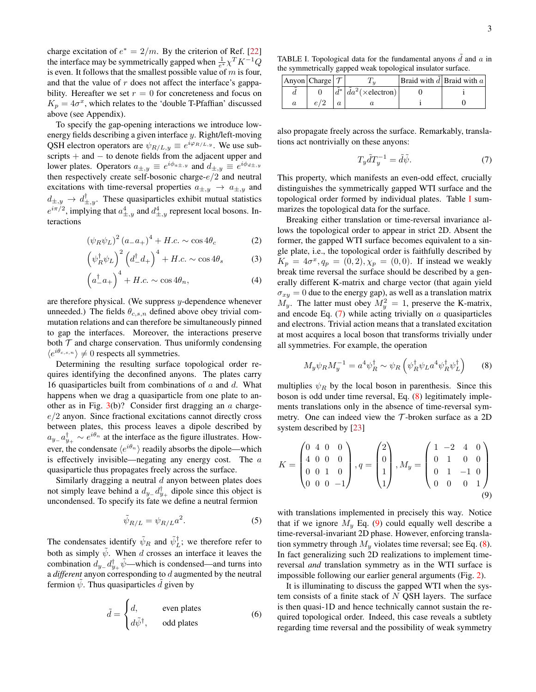charge excitation of  $e^* = 2/m$ . By the criterion of Ref. [\[22\]](#page-4-16) the interface may be symmetrically gapped when  $\frac{1}{e^*} \chi^T K^{-1} Q$ is even. It follows that the smallest possible value of  $m$  is four, and that the value of  $r$  does not affect the interface's gappability. Hereafter we set  $r = 0$  for concreteness and focus on  $K_p = 4\sigma^x$ , which relates to the 'double T-Pfaffian' discussed above (see Appendix).

To specify the gap-opening interactions we introduce lowenergy fields describing a given interface y. Right/left-moving QSH electron operators are  $\psi_{R/L,y} \equiv e^{i\varphi_{R/L,y}}$ . We use subscripts + and – to denote fields from the adjacent upper and lower plates. Operators  $a_{\pm,y} \equiv e^{i\phi_{a\pm,y}}$  and  $d_{\pm,y} \equiv e^{i\phi_{d\pm,y}}$ then respectively create self-bosonic charge- $e/2$  and neutral excitations with time-reversal properties  $a_{\pm,y} \rightarrow a_{\pm,y}$  and  $d_{\pm,y} \to d_{\pm,y}^{\dagger}$ . These quasiparticles exhibit mutual statistics  $e^{i\pi/2}$ , implying that  $a^4_{\pm,y}$  and  $d^4_{\pm,y}$  represent local bosons. Interactions

$$
(\psi_R \psi_L)^2 (a_- a_+)^4 + H.c. \sim \cos 4\theta_c \tag{2}
$$

$$
\left(\psi_R^{\dagger}\psi_L\right)^2 \left(d_-^{\dagger}d_+\right)^4 + H.c. \sim \cos 4\theta_s \tag{3}
$$

$$
\left(a_{-}^{\dagger}a_{+}\right)^{4} + H.c. \sim \cos 4\theta_{n},\tag{4}
$$

are therefore physical. (We suppress y-dependence whenever unneeded.) The fields  $\theta_{c,s,n}$  defined above obey trivial commutation relations and can therefore be simultaneously pinned to gap the interfaces. Moreover, the interactions preserve both  $\mathcal T$  and charge conservation. Thus uniformly condensing  $\langle e^{i\theta_{c,s,n}} \rangle \neq 0$  respects all symmetries.

Determining the resulting surface topological order requires identifying the deconfined anyons. The plates carry 16 quasiparticles built from combinations of  $a$  and  $d$ . What happens when we drag a quasiparticle from one plate to another as in Fig.  $3(b)$  $3(b)$ ? Consider first dragging an a charge $e/2$  anyon. Since fractional excitations cannot directly cross between plates, this process leaves a dipole described by  $a_{y-}a_{y+}^{\dagger} \sim e^{i\theta_n}$  at the interface as the figure illustrates. However, the condensate  $\langle e^{i\theta_n} \rangle$  readily absorbs the dipole—which is effectively invisible—negating any energy cost. The  $a$ quasiparticle thus propagates freely across the surface.

Similarly dragging a neutral  $d$  anyon between plates does not simply leave behind a  $d_{y-}d_{y+}^{\dagger}$  dipole since this object is uncondensed. To specify its fate we define a neutral fermion

$$
\tilde{\psi}_{R/L} = \psi_{R/L} a^2. \tag{5}
$$

The condensates identify  $\tilde{\psi}_R$  and  $\tilde{\psi}_L^{\dagger}$ ; we therefore refer to both as simply  $\tilde{\psi}$ . When d crosses an interface it leaves the combination  $d_{y-}d_{y+}^{\dagger}\tilde{\psi}$ —which is condensed—and turns into a *different* anyon corresponding to d augmented by the neutral fermion  $\psi$ . Thus quasiparticles d given by

$$
\tilde{d} = \begin{cases}\nd, & \text{even plates} \\
d\tilde{\psi}^{\dagger}, & \text{odd plates}\n\end{cases}
$$
\n(6)

<span id="page-2-0"></span>TABLE I. Topological data for the fundamental anyons  $\tilde{d}$  and  $\alpha$  in the symmetrically gapped weak topological insulator surface.

| Anyon Charge $\tau$ |               |                                          | <b>Braid with </b> $d$ <b>Braid with</b> $a$ |
|---------------------|---------------|------------------------------------------|----------------------------------------------|
|                     | $\tilde{d}^*$ | $ \tilde{d}a^2(\times \text{electron}) $ |                                              |
|                     |               |                                          |                                              |

also propagate freely across the surface. Remarkably, translations act nontrivially on these anyons:

<span id="page-2-1"></span>
$$
T_y \tilde{d} T_y^{-1} = \tilde{d} \tilde{\psi}.
$$
 (7)

This property, which manifests an even-odd effect, crucially distinguishes the symmetrically gapped WTI surface and the topological order formed by individual plates. Table [I](#page-2-0) summarizes the topological data for the surface.

<span id="page-2-6"></span><span id="page-2-5"></span><span id="page-2-4"></span>Breaking either translation or time-reversal invariance allows the topological order to appear in strict 2D. Absent the former, the gapped WTI surface becomes equivalent to a single plate, i.e., the topological order is faithfully described by  $K_p = 4\sigma^x, q_p = (0, 2), \chi_p = (0, 0)$ . If instead we weakly break time reversal the surface should be described by a generally different K-matrix and charge vector (that again yield  $\sigma_{xy} = 0$  due to the energy gap), as well as a translation matrix  $M_y$ . The latter must obey  $M_y^2 = 1$ , preserve the K-matrix, and encode Eq.  $(7)$  while acting trivially on a quasiparticles and electrons. Trivial action means that a translated excitation at most acquires a local boson that transforms trivially under all symmetries. For example, the operation

<span id="page-2-2"></span>
$$
M_y \psi_R M_y^{-1} = a^4 \psi_R^\dagger \sim \psi_R \left( \psi_R^\dagger \psi_L a^4 \psi_R^\dagger \psi_L^\dagger \right) \tag{8}
$$

multiplies  $\psi_R$  by the local boson in parenthesis. Since this boson is odd under time reversal, Eq. [\(8\)](#page-2-2) legitimately implements translations only in the absence of time-reversal symmetry. One can indeed view the  $T$ -broken surface as a 2D system described by [\[23\]](#page-4-17)

$$
K = \begin{pmatrix} 0 & 4 & 0 & 0 \\ 4 & 0 & 0 & 0 \\ 0 & 0 & 1 & 0 \\ 0 & 0 & 0 & -1 \end{pmatrix}, q = \begin{pmatrix} 2 \\ 0 \\ 1 \\ 1 \end{pmatrix}, M_y = \begin{pmatrix} 1 & -2 & 4 & 0 \\ 0 & 1 & 0 & 0 \\ 0 & 1 & -1 & 0 \\ 0 & 0 & 0 & 1 \end{pmatrix}
$$
(9)

<span id="page-2-7"></span><span id="page-2-3"></span>with translations implemented in precisely this way. Notice that if we ignore  $M_y$  Eq. [\(9\)](#page-2-3) could equally well describe a time-reversal-invariant 2D phase. However, enforcing translation symmetry through  $M_y$  violates time reversal; see Eq. [\(8\)](#page-2-2). In fact generalizing such 2D realizations to implement timereversal *and* translation symmetry as in the WTI surface is impossible following our earlier general arguments (Fig. [2\)](#page-1-0).

It is illuminating to discuss the gapped WTI when the system consists of a finite stack of  $N$  QSH layers. The surface is then quasi-1D and hence technically cannot sustain the required topological order. Indeed, this case reveals a subtlety regarding time reversal and the possibility of weak symmetry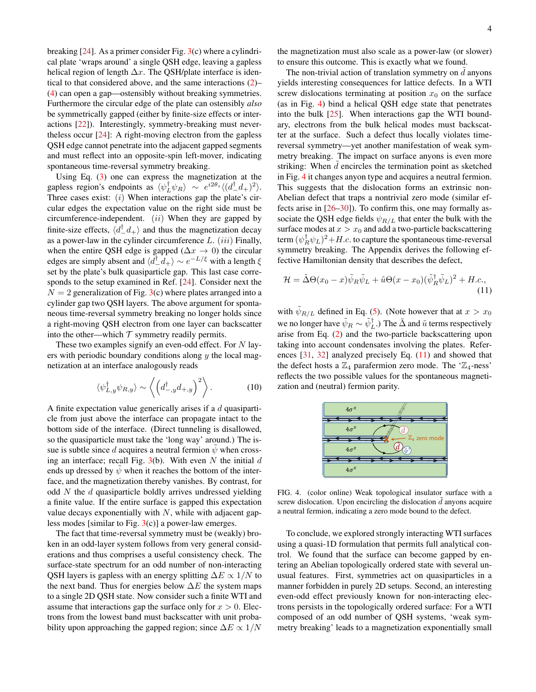breaking  $[24]$ . As a primer consider Fig.  $3(c)$  $3(c)$  where a cylindrical plate 'wraps around' a single QSH edge, leaving a gapless helical region of length  $\Delta x$ . The QSH/plate interface is identical to that considered above, and the same interactions [\(2\)](#page-2-4)– [\(4\)](#page-2-5) can open a gap—ostensibly without breaking symmetries. Furthermore the circular edge of the plate can ostensibly *also* be symmetrically gapped (either by finite-size effects or interactions [\[22\]](#page-4-16)). Interestingly, symmetry-breaking must nevertheless occur [\[24\]](#page-4-18): A right-moving electron from the gapless QSH edge cannot penetrate into the adjacent gapped segments and must reflect into an opposite-spin left-mover, indicating spontaneous time-reversal symmetry breaking.

Using Eq. [\(3\)](#page-2-6) one can express the magnetization at the gapless region's endpoints as  $\langle \psi_L^{\dagger} \psi_R \rangle \sim e^{i2\theta_s} \langle (d^\dagger_\mu d_+)^2 \rangle$ . Three cases exist:  $(i)$  When interactions gap the plate's circular edges the expectation value on the right side must be circumference-independent.  $(ii)$  When they are gapped by finite-size effects,  $\langle d_{-}^{\dagger} d_{+} \rangle$  and thus the magnetization decay as a power-law in the cylinder circumference  $L. (iii)$  Finally, when the entire QSH edge is gapped ( $\Delta x \rightarrow 0$ ) the circular edges are simply absent and  $\langle d^{\dagger} d_{+}\rangle \sim e^{-L/\xi}$  with a length  $\xi$ set by the plate's bulk quasiparticle gap. This last case corresponds to the setup examined in Ref. [\[24\]](#page-4-18). Consider next the  $N = 2$  generalization of Fig. [3\(](#page-1-1)c) where plates arranged into a cylinder gap two QSH layers. The above argument for spontaneous time-reversal symmetry breaking no longer holds since a right-moving QSH electron from one layer can backscatter into the other—which  $T$  symmetry readily permits.

These two examples signify an even-odd effect. For  $N$  layers with periodic boundary conditions along  $y$  the local magnetization at an interface analogously reads

$$
\langle \psi_{L,y}^{\dagger} \psi_{R,y} \rangle \sim \left\langle \left( d_{-,y}^{\dagger} d_{+,y} \right)^2 \right\rangle. \tag{10}
$$

A finite expectation value generically arises if a d quasiparticle from just above the interface can propagate intact to the bottom side of the interface. (Direct tunneling is disallowed, so the quasiparticle must take the 'long way' around.) The issue is subtle since d acquires a neutral fermion  $\psi$  when crossing an interface; recall Fig.  $3(b)$  $3(b)$ . With even N the initial d ends up dressed by  $\psi$  when it reaches the bottom of the interface, and the magnetization thereby vanishes. By contrast, for odd N the d quasiparticle boldly arrives undressed yielding a finite value. If the entire surface is gapped this expectation value decays exponentially with  $N$ , while with adjacent gapless modes [similar to Fig.  $3(c)$  $3(c)$ ] a power-law emerges.

The fact that time-reversal symmetry must be (weakly) broken in an odd-layer system follows from very general considerations and thus comprises a useful consistency check. The surface-state spectrum for an odd number of non-interacting QSH layers is gapless with an energy splitting  $\Delta E \propto 1/N$  to the next band. Thus for energies below  $\Delta E$  the system maps to a single 2D QSH state. Now consider such a finite WTI and assume that interactions gap the surface only for  $x > 0$ . Electrons from the lowest band must backscatter with unit probability upon approaching the gapped region; since  $\Delta E \propto 1/N$ 

the magnetization must also scale as a power-law (or slower) to ensure this outcome. This is exactly what we found.

The non-trivial action of translation symmetry on  $d$  anyons yields interesting consequences for lattice defects. In a WTI screw dislocations terminating at position  $x_0$  on the surface (as in Fig. [4\)](#page-3-0) bind a helical QSH edge state that penetrates into the bulk [\[25\]](#page-4-19). When interactions gap the WTI boundary, electrons from the bulk helical modes must backscatter at the surface. Such a defect thus locally violates timereversal symmetry—yet another manifestation of weak symmetry breaking. The impact on surface anyons is even more striking: When  $d$  encircles the termination point as sketched in Fig. [4](#page-3-0) it changes anyon type and acquires a neutral fermion. This suggests that the dislocation forms an extrinsic non-Abelian defect that traps a nontrivial zero mode (similar effects arise in [\[26](#page-4-20)[–30\]](#page-4-21)). To confirm this, one may formally associate the QSH edge fields  $\psi_{R/L}$  that enter the bulk with the surface modes at  $x > x_0$  and add a two-particle backscattering term  $(\psi_R^{\dagger} \psi_L)^2 + H.c.$  to capture the spontaneous time-reversal symmetry breaking. The Appendix derives the following effective Hamiltonian density that describes the defect,

<span id="page-3-1"></span>
$$
\mathcal{H} = \tilde{\Delta}\Theta(x_0 - x)\tilde{\psi}_R\tilde{\psi}_L + \tilde{u}\Theta(x - x_0)(\tilde{\psi}_R^{\dagger}\tilde{\psi}_L)^2 + H.c.,
$$
\n(11)

with  $\psi_{R/L}$  defined in Eq. [\(5\)](#page-2-7). (Note however that at  $x > x_0$ we no longer have  $\tilde{\psi}_R \sim \tilde{\psi}_L^{\dagger}$ .) The  $\tilde{\Delta}$  and  $\tilde{u}$  terms respectively arise from Eq. [\(2\)](#page-2-4) and the two-particle backscattering upon taking into account condensates involving the plates. References [\[31,](#page-4-22) [32\]](#page-4-23) analyzed precisely Eq. [\(11\)](#page-3-1) and showed that the defect hosts a  $\mathbb{Z}_4$  parafermion zero mode. The ' $\mathbb{Z}_4$ -ness' reflects the two possible values for the spontaneous magnetization and (neutral) fermion parity.



<span id="page-3-0"></span>FIG. 4. (color online) Weak topological insulator surface with a screw dislocation. Upon encircling the dislocation  $d$  anyons acquire a neutral fermion, indicating a zero mode bound to the defect.

To conclude, we explored strongly interacting WTI surfaces using a quasi-1D formulation that permits full analytical control. We found that the surface can become gapped by entering an Abelian topologically ordered state with several unusual features. First, symmetries act on quasiparticles in a manner forbidden in purely 2D setups. Second, an interesting even-odd effect previously known for non-interacting electrons persists in the topologically ordered surface: For a WTI composed of an odd number of QSH systems, 'weak symmetry breaking' leads to a magnetization exponentially small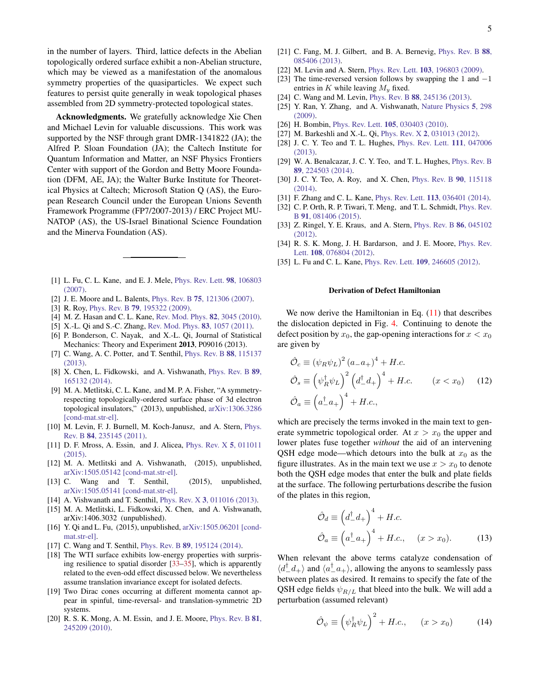in the number of layers. Third, lattice defects in the Abelian topologically ordered surface exhibit a non-Abelian structure, which may be viewed as a manifestation of the anomalous symmetry properties of the quasiparticles. We expect such features to persist quite generally in weak topological phases assembled from 2D symmetry-protected topological states.

Acknowledgments. We gratefully acknowledge Xie Chen and Michael Levin for valuable discussions. This work was supported by the NSF through grant DMR-1341822 (JA); the Alfred P. Sloan Foundation (JA); the Caltech Institute for Quantum Information and Matter, an NSF Physics Frontiers Center with support of the Gordon and Betty Moore Foundation (DFM, AE, JA); the Walter Burke Institute for Theoretical Physics at Caltech; Microsoft Station Q (AS), the European Research Council under the European Unions Seventh Framework Programme (FP7/2007-2013) / ERC Project MU-NATOP (AS), the US-Israel Binational Science Foundation and the Minerva Foundation (AS).

- <span id="page-4-0"></span>[1] L. Fu, C. L. Kane, and E. J. Mele, [Phys. Rev. Lett.](http://dx.doi.org/10.1103/PhysRevLett.98.106803) 98, 106803 [\(2007\).](http://dx.doi.org/10.1103/PhysRevLett.98.106803)
- [2] J. E. Moore and L. Balents, Phys. Rev. B 75[, 121306 \(2007\).](http://dx.doi.org/10.1103/PhysRevB.75.121306)
- <span id="page-4-11"></span>[3] R. Roy, Phys. Rev. B 79[, 195322 \(2009\).](http://dx.doi.org/10.1103/PhysRevB.79.195322)
- [4] M. Z. Hasan and C. L. Kane, [Rev. Mod. Phys.](http://dx.doi.org/10.1103/RevModPhys.82.3045) 82, 3045 (2010).
- <span id="page-4-1"></span>[5] X.-L. Qi and S.-C. Zhang, [Rev. Mod. Phys.](http://dx.doi.org/10.1103/RevModPhys.83.1057) 83, 1057 (2011).
- <span id="page-4-2"></span>[6] P. Bonderson, C. Nayak, and X.-L. Qi, Journal of Statistical Mechanics: Theory and Experiment 2013, P09016 (2013).
- [7] C. Wang, A. C. Potter, and T. Senthil, [Phys. Rev. B](http://dx.doi.org/10.1103/PhysRevB.88.115137) 88, 115137 [\(2013\).](http://dx.doi.org/10.1103/PhysRevB.88.115137)
- <span id="page-4-26"></span>[8] X. Chen, L. Fidkowski, and A. Vishwanath, [Phys. Rev. B](http://dx.doi.org/10.1103/PhysRevB.89.165132) 89, [165132 \(2014\).](http://dx.doi.org/10.1103/PhysRevB.89.165132)
- <span id="page-4-3"></span>[9] M. A. Metlitski, C. L. Kane, and M. P. A. Fisher, "A symmetryrespecting topologically-ordered surface phase of 3d electron topological insulators," (2013), unpublished, [arXiv:1306.3286](http://arxiv.org/abs/1306.3286) [\[cond-mat.str-el\].](http://arxiv.org/abs/1306.3286)
- <span id="page-4-4"></span>[10] M. Levin, F. J. Burnell, M. Koch-Janusz, and A. Stern, [Phys.](http://dx.doi.org/10.1103/PhysRevB.84.235145) Rev. B 84[, 235145 \(2011\).](http://dx.doi.org/10.1103/PhysRevB.84.235145)
- <span id="page-4-5"></span>[11] D. F. Mross, A. Essin, and J. Alicea, *[Phys. Rev. X](http://dx.doi.org/10.1103/PhysRevX.5.011011)* 5, 011011 [\(2015\).](http://dx.doi.org/10.1103/PhysRevX.5.011011)
- [12] M. A. Metlitski and A. Vishwanath, (2015), unpublished, [arXiv:1505.05142 \[cond-mat.str-el\].](http://arxiv.org/abs/1505.05142)
- <span id="page-4-6"></span>[13] C. Wang and T. Senthil, (2015), unpublished, [arXiv:1505.05141 \[cond-mat.str-el\].](http://arxiv.org/abs/1505.05141)
- <span id="page-4-7"></span>[14] A. Vishwanath and T. Senthil, Phys. Rev. X 3[, 011016 \(2013\).](http://dx.doi.org/10.1103/PhysRevX.3.011016)
- <span id="page-4-8"></span>[15] M. A. Metlitski, L. Fidkowski, X. Chen, and A. Vishwanath, arXiv:1406.3032 (unpublished).
- <span id="page-4-9"></span>[16] Y. Qi and L. Fu, (2015), unpublished, [arXiv:1505.06201 \[cond](http://arxiv.org/abs/1505.06201)[mat.str-el\].](http://arxiv.org/abs/1505.06201)
- <span id="page-4-10"></span>[17] C. Wang and T. Senthil, *Phys. Rev. B* **89**[, 195124 \(2014\).](http://dx.doi.org/10.1103/PhysRevB.89.195124)
- <span id="page-4-12"></span>[18] The WTI surface exhibits low-energy properties with surprising resilience to spatial disorder [\[33](#page-4-24)[–35\]](#page-4-25), which is apparently related to the even-odd effect discussed below. We nevertheless assume translation invariance except for isolated defects.
- <span id="page-4-13"></span>[19] Two Dirac cones occurring at different momenta cannot appear in spinful, time-reversal- and translation-symmetric 2D systems.
- <span id="page-4-14"></span>[20] R. S. K. Mong, A. M. Essin, and J. E. Moore, [Phys. Rev. B](http://dx.doi.org/10.1103/PhysRevB.81.245209) 81, [245209 \(2010\).](http://dx.doi.org/10.1103/PhysRevB.81.245209)
- <span id="page-4-15"></span>[21] C. Fang, M. J. Gilbert, and B. A. Bernevig, [Phys. Rev. B](http://dx.doi.org/10.1103/PhysRevB.88.085406) 88, [085406 \(2013\).](http://dx.doi.org/10.1103/PhysRevB.88.085406)
- <span id="page-4-16"></span>[22] M. Levin and A. Stern, Phys. Rev. Lett. 103[, 196803 \(2009\).](http://dx.doi.org/10.1103/PhysRevLett.103.196803)
- <span id="page-4-17"></span>[23] The time-reversed version follows by swapping the 1 and  $-1$ entries in  $K$  while leaving  $M_y$  fixed.
- <span id="page-4-18"></span>[24] C. Wang and M. Levin, *Phys. Rev. B* 88[, 245136 \(2013\).](http://dx.doi.org/10.1103/PhysRevB.88.245136)
- <span id="page-4-19"></span>[25] Y. Ran, Y. Zhang, and A. Vishwanath, [Nature Physics](http://dx.doi.org/10.1038/nphys1220) 5, 298 [\(2009\).](http://dx.doi.org/10.1038/nphys1220)
- <span id="page-4-20"></span>[26] H. Bombin, Phys. Rev. Lett. **105**[, 030403 \(2010\).](http://dx.doi.org/10.1103/PhysRevLett.105.030403)
- [27] M. Barkeshli and X.-L. Qi, Phys. Rev. X 2[, 031013 \(2012\).](http://dx.doi.org/10.1103/PhysRevX.2.031013)
- [28] J. C. Y. Teo and T. L. Hughes, [Phys. Rev. Lett.](http://dx.doi.org/10.1103/PhysRevLett.111.047006) 111, 047006 [\(2013\).](http://dx.doi.org/10.1103/PhysRevLett.111.047006)
- [29] W. A. Benalcazar, J. C. Y. Teo, and T. L. Hughes, [Phys. Rev. B](http://dx.doi.org/10.1103/PhysRevB.89.224503) 89[, 224503 \(2014\).](http://dx.doi.org/10.1103/PhysRevB.89.224503)
- <span id="page-4-21"></span>[30] J. C. Y. Teo, A. Roy, and X. Chen, *[Phys. Rev. B](http://dx.doi.org/10.1103/PhysRevB.90.115118)* 90, 115118 [\(2014\).](http://dx.doi.org/10.1103/PhysRevB.90.115118)
- <span id="page-4-22"></span>[31] F. Zhang and C. L. Kane, Phys. Rev. Lett. 113[, 036401 \(2014\).](http://dx.doi.org/10.1103/PhysRevLett.113.036401)
- <span id="page-4-23"></span>[32] C. P. Orth, R. P. Tiwari, T. Meng, and T. L. Schmidt, [Phys. Rev.](http://dx.doi.org/ 10.1103/PhysRevB.91.081406) B 91[, 081406 \(2015\).](http://dx.doi.org/ 10.1103/PhysRevB.91.081406)
- <span id="page-4-24"></span>[33] Z. Ringel, Y. E. Kraus, and A. Stern, *[Phys. Rev. B](http://dx.doi.org/10.1103/PhysRevB.86.045102)* 86, 045102 [\(2012\).](http://dx.doi.org/10.1103/PhysRevB.86.045102)
- [34] R. S. K. Mong, J. H. Bardarson, and J. E. Moore, [Phys. Rev.](http://dx.doi.org/10.1103/PhysRevLett.108.076804) Lett. 108[, 076804 \(2012\).](http://dx.doi.org/10.1103/PhysRevLett.108.076804)
- <span id="page-4-25"></span>[35] L. Fu and C. L. Kane, Phys. Rev. Lett. 109[, 246605 \(2012\).](http://dx.doi.org/10.1103/PhysRevLett.109.246605)

## Derivation of Defect Hamiltonian

We now derive the Hamiltonian in Eq.  $(11)$  that describes the dislocation depicted in Fig. [4.](#page-3-0) Continuing to denote the defect position by  $x_0$ , the gap-opening interactions for  $x < x_0$ are given by

$$
\hat{\mathcal{O}}_c \equiv (\psi_R \psi_L)^2 (a_- a_+)^4 + H.c.
$$
  
\n
$$
\hat{\mathcal{O}}_s \equiv (\psi_R^{\dagger} \psi_L)^2 (d_-^{\dagger} d_+) ^4 + H.c.
$$
  $(x < x_0)$  (12)  
\n
$$
\hat{\mathcal{O}}_a \equiv (a_-^{\dagger} a_+) ^4 + H.c.
$$

which are precisely the terms invoked in the main text to generate symmetric topological order. At  $x > x_0$  the upper and lower plates fuse together *without* the aid of an intervening QSH edge mode—which detours into the bulk at  $x_0$  as the figure illustrates. As in the main text we use  $x > x_0$  to denote both the QSH edge modes that enter the bulk and plate fields at the surface. The following perturbations describe the fusion of the plates in this region,

$$
\hat{\mathcal{O}}_d \equiv \left(d_-^{\dagger} d_+\right)^4 + H.c.
$$
  
\n
$$
\hat{\mathcal{O}}_a \equiv \left(a_-^{\dagger} a_+\right)^4 + H.c., \quad (x > x_0).
$$
\n(13)

When relevant the above terms catalyze condensation of  $\langle d_{-}^{\dagger}d_{+}\rangle$  and  $\langle a_{-}^{\dagger}a_{+}\rangle$ , allowing the anyons to seamlessly pass between plates as desired. It remains to specify the fate of the QSH edge fields  $\psi_{R/L}$  that bleed into the bulk. We will add a perturbation (assumed relevant)

$$
\hat{\mathcal{O}}_{\psi} \equiv \left(\psi_R^{\dagger} \psi_L\right)^2 + H.c., \qquad (x > x_0) \tag{14}
$$